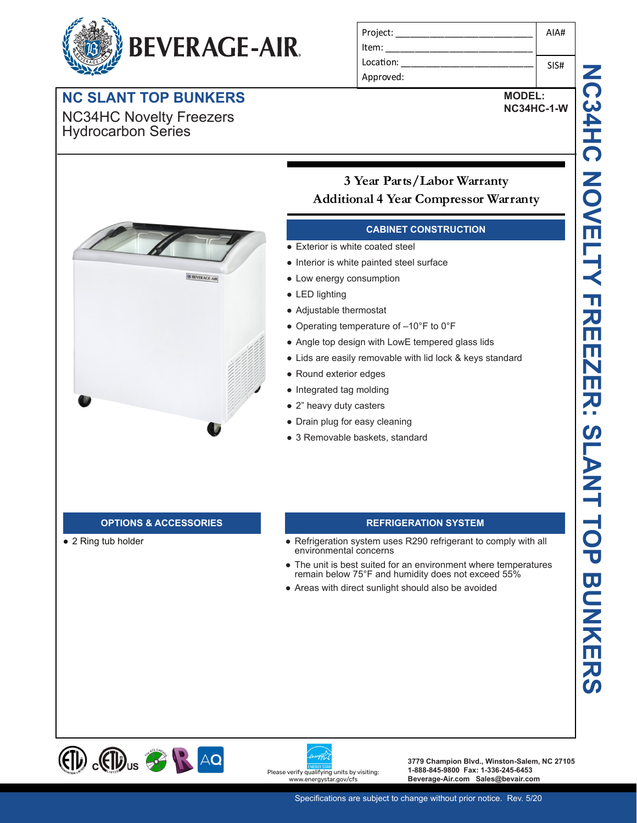# **BEVERAGE-AIR**

## **NC SLANT TOP BUNKERS**

NC34HC Novelty Freezers Hydrocarbon Series

| Project:  | AIA# |
|-----------|------|
| l Item:   |      |
| Location: | SIS# |
| Approved: |      |

**MODEL:**

**NC34HC-1-W**



## **3 Year Parts/Labor Warranty Additional 4 Year Compressor Warranty**

## **CABINET CONSTRUCTION**

- Exterior is white coated steel
- Interior is white painted steel surface
- Low energy consumption
- LED lighting
- Adjustable thermostat
- Operating temperature of –10°F to 0°F
- Angle top design with LowE tempered glass lids
- Lids are easily removable with lid lock & keys standard
- Round exterior edges
- Integrated tag molding
- 2" heavy duty casters
- Drain plug for easy cleaning
- 3 Removable baskets, standard

● 2 Ring tub holder

## **OPTIONS & ACCESSORIES REFRIGERATION SYSTEM**

- Refrigeration system uses R290 refrigerant to comply with all environmental concerns
- The unit is best suited for an environment where temperatures remain below 75°F and humidity does not exceed 55%
- Areas with direct sunlight should also be avoided





**3779 Champion Blvd., Winston-Salem, NC 27105 1-888-845-9800 Fax: 1-336-245-6453 Beverage-Air.com Sales@bevair.com**